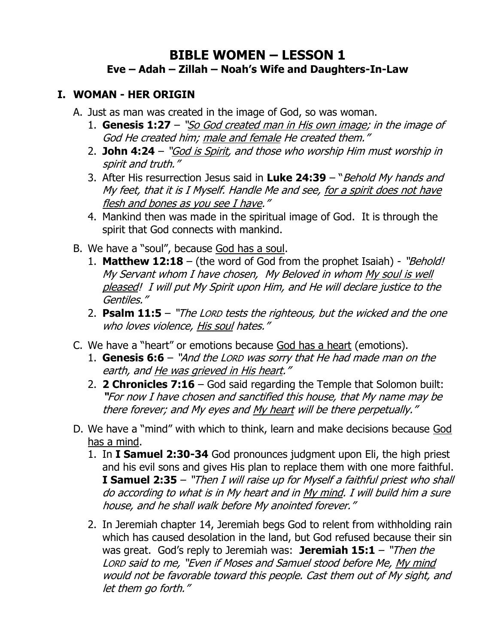# **BIBLE WOMEN – LESSON 1 Eve – Adah – Zillah – Noah's Wife and Daughters-In-Law**

#### **I. WOMAN - HER ORIGIN**

- A. Just as man was created in the image of God, so was woman.
	- 1. **Genesis 1:27** "So God created man in His own image; in the image of God He created him; male and female He created them."
	- 2. **John 4:24** "God is Spirit, and those who worship Him must worship in spirit and truth."
	- 3. After His resurrection Jesus said in **Luke 24:39** "Behold My hands and My feet, that it is I Myself. Handle Me and see, for a spirit does not have flesh and bones as you see I have."
	- 4. Mankind then was made in the spiritual image of God. It is through the spirit that God connects with mankind.
- B. We have a "soul", because God has a soul.
	- 1. **Matthew 12:18** (the word of God from the prophet Isaiah) "Behold! My Servant whom I have chosen, My Beloved in whom My soul is well pleased! I will put My Spirit upon Him, and He will declare justice to the Gentiles."
	- 2. **Psalm 11:5** "The LORD tests the righteous, but the wicked and the one who loves violence, His soul hates."
- C. We have a "heart" or emotions because God has a heart (emotions).
	- 1. **Genesis 6:6** "And the LORD was sorry that He had made man on the earth, and He was grieved in His heart."
	- 2. **2 Chronicles 7:16** God said regarding the Temple that Solomon built: **"**For now I have chosen and sanctified this house, that My name may be there forever; and My eyes and My heart will be there perpetually."
- D. We have a "mind" with which to think, learn and make decisions because God has a mind.
	- 1. In **I Samuel 2:30-34** God pronounces judgment upon Eli, the high priest and his evil sons and gives His plan to replace them with one more faithful. **I Samuel 2:35** – "Then I will raise up for Myself a faithful priest who shall do according to what is in My heart and in My mind. I will build him a sure house, and he shall walk before My anointed forever."
	- 2. In Jeremiah chapter 14, Jeremiah begs God to relent from withholding rain which has caused desolation in the land, but God refused because their sin was great. God's reply to Jeremiah was: **Jeremiah 15:1** – "Then the LORD said to me, "Even if Moses and Samuel stood before Me, My mind would not be favorable toward this people. Cast them out of My sight, and let them go forth."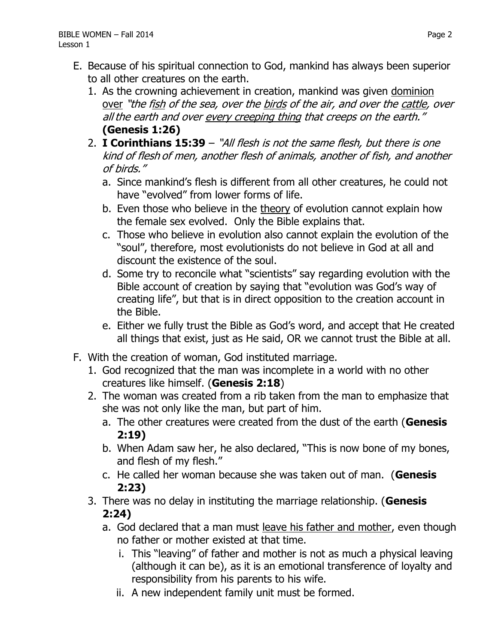- E. Because of his spiritual connection to God, mankind has always been superior to all other creatures on the earth.
	- 1. As the crowning achievement in creation, mankind was given dominion over "the fish of the sea, over the birds of the air, and over the cattle, over all the earth and over every creeping thing that creeps on the earth." **(Genesis 1:26)**
	- 2. **I Corinthians 15:39** "All flesh is not the same flesh, but there is one kind of flesh of men, another flesh of animals, another of fish, and another of birds."
		- a. Since mankind's flesh is different from all other creatures, he could not have "evolved" from lower forms of life.
		- b. Even those who believe in the theory of evolution cannot explain how the female sex evolved. Only the Bible explains that.
		- c. Those who believe in evolution also cannot explain the evolution of the "soul", therefore, most evolutionists do not believe in God at all and discount the existence of the soul.
		- d. Some try to reconcile what "scientists" say regarding evolution with the Bible account of creation by saying that "evolution was God's way of creating life", but that is in direct opposition to the creation account in the Bible.
		- e. Either we fully trust the Bible as God's word, and accept that He created all things that exist, just as He said, OR we cannot trust the Bible at all.
- F. With the creation of woman, God instituted marriage.
	- 1. God recognized that the man was incomplete in a world with no other creatures like himself. (**Genesis 2:18**)
	- 2. The woman was created from a rib taken from the man to emphasize that she was not only like the man, but part of him.
		- a. The other creatures were created from the dust of the earth (**Genesis 2:19)**
		- b. When Adam saw her, he also declared, "This is now bone of my bones, and flesh of my flesh."
		- c. He called her woman because she was taken out of man. (**Genesis 2:23)**
	- 3. There was no delay in instituting the marriage relationship. (**Genesis 2:24)**
		- a. God declared that a man must leave his father and mother, even though no father or mother existed at that time.
			- i. This "leaving" of father and mother is not as much a physical leaving (although it can be), as it is an emotional transference of loyalty and responsibility from his parents to his wife.
			- ii. A new independent family unit must be formed.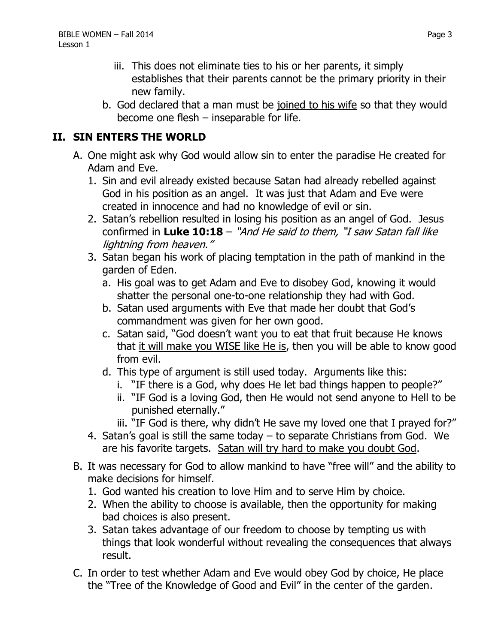- iii. This does not eliminate ties to his or her parents, it simply establishes that their parents cannot be the primary priority in their new family.
- b. God declared that a man must be joined to his wife so that they would become one flesh – inseparable for life.

## **II. SIN ENTERS THE WORLD**

- A. One might ask why God would allow sin to enter the paradise He created for Adam and Eve.
	- 1. Sin and evil already existed because Satan had already rebelled against God in his position as an angel. It was just that Adam and Eve were created in innocence and had no knowledge of evil or sin.
	- 2. Satan's rebellion resulted in losing his position as an angel of God. Jesus confirmed in **Luke 10:18** – "And He said to them, "I saw Satan fall like lightning from heaven."
	- 3. Satan began his work of placing temptation in the path of mankind in the garden of Eden.
		- a. His goal was to get Adam and Eve to disobey God, knowing it would shatter the personal one-to-one relationship they had with God.
		- b. Satan used arguments with Eve that made her doubt that God's commandment was given for her own good.
		- c. Satan said, "God doesn't want you to eat that fruit because He knows that it will make you WISE like He is, then you will be able to know good from evil.
		- d. This type of argument is still used today. Arguments like this:
			- i. "IF there is a God, why does He let bad things happen to people?"
			- ii. "IF God is a loving God, then He would not send anyone to Hell to be punished eternally."
			- iii. "IF God is there, why didn't He save my loved one that I prayed for?"
	- 4. Satan's goal is still the same today to separate Christians from God. We are his favorite targets. Satan will try hard to make you doubt God.
- B. It was necessary for God to allow mankind to have "free will" and the ability to make decisions for himself.
	- 1. God wanted his creation to love Him and to serve Him by choice.
	- 2. When the ability to choose is available, then the opportunity for making bad choices is also present.
	- 3. Satan takes advantage of our freedom to choose by tempting us with things that look wonderful without revealing the consequences that always result.
- C. In order to test whether Adam and Eve would obey God by choice, He place the "Tree of the Knowledge of Good and Evil" in the center of the garden.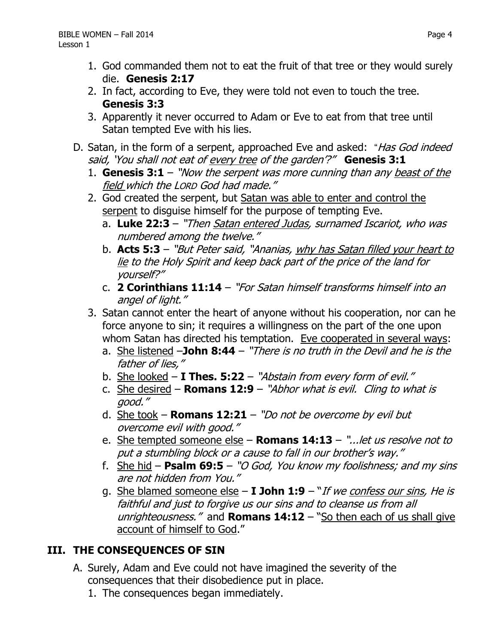- 1. God commanded them not to eat the fruit of that tree or they would surely die. **Genesis 2:17**
- 2. In fact, according to Eve, they were told not even to touch the tree. **Genesis 3:3**
- 3. Apparently it never occurred to Adam or Eve to eat from that tree until Satan tempted Eve with his lies.
- D. Satan, in the form of a serpent, approached Eve and asked: "Has God indeed said, 'You shall not eat of every tree of the garden'?" **Genesis 3:1**
	- 1. **Genesis 3:1** "Now the serpent was more cunning than any beast of the field which the LORD God had made."
	- 2. God created the serpent, but Satan was able to enter and control the serpent to disguise himself for the purpose of tempting Eve.
		- a. **Luke 22:3**  "Then Satan entered Judas, surnamed Iscariot, who was numbered among the twelve."
		- b. **Acts 5:3** "But Peter said, "Ananias, why has Satan filled your heart to lie to the Holy Spirit and keep back part of the price of the land for yourself?"
		- c. **2 Corinthians 11:14** "For Satan himself transforms himself into an angel of light."
	- 3. Satan cannot enter the heart of anyone without his cooperation, nor can he force anyone to sin; it requires a willingness on the part of the one upon whom Satan has directed his temptation. Eve cooperated in several ways:
		- a. She listened –**John 8:44** "There is no truth in the Devil and he is the father of lies,"
		- b. She looked **I Thes. 5:22** "Abstain from every form of evil."
		- c. She desired **Romans 12:9** "Abhor what is evil. Cling to what is good."
		- d. She took **Romans 12:21** "Do not be overcome by evil but overcome evil with good."
		- e. She tempted someone else **Romans 14:13** "...let us resolve not to put a stumbling block or a cause to fall in our brother's way."
		- f. She hid **Psalm 69:5** "O God, You know my foolishness; and my sins are not hidden from You."
		- g. She blamed someone else **I John 1:9** "If we confess our sins, He is faithful and just to forgive us our sins and to cleanse us from all unrighteousness." and **Romans 14:12** – "So then each of us shall give account of himself to God."

# **III. THE CONSEQUENCES OF SIN**

- A. Surely, Adam and Eve could not have imagined the severity of the consequences that their disobedience put in place.
	- 1. The consequences began immediately.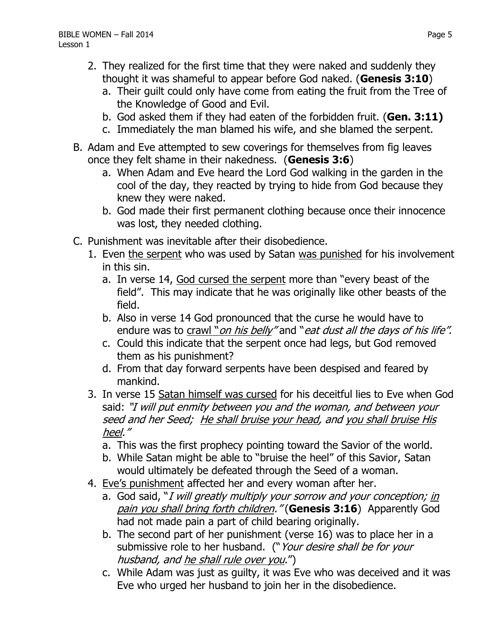- 2. They realized for the first time that they were naked and suddenly they thought it was shameful to appear before God naked. (**Genesis 3:10**)
	- a. Their guilt could only have come from eating the fruit from the Tree of the Knowledge of Good and Evil.
	- b. God asked them if they had eaten of the forbidden fruit. (**Gen. 3:11)**
	- c. Immediately the man blamed his wife, and she blamed the serpent.
- B. Adam and Eve attempted to sew coverings for themselves from fig leaves once they felt shame in their nakedness. (**Genesis 3:6**)
	- a. When Adam and Eve heard the Lord God walking in the garden in the cool of the day, they reacted by trying to hide from God because they knew they were naked.
	- b. God made their first permanent clothing because once their innocence was lost, they needed clothing.
- C. Punishment was inevitable after their disobedience.
	- 1. Even the serpent who was used by Satan was punished for his involvement in this sin.
		- a. In verse 14, God cursed the serpent more than "every beast of the field". This may indicate that he was originally like other beasts of the field.
		- b. Also in verse 14 God pronounced that the curse he would have to endure was to crawl "on his belly" and "eat dust all the days of his life".
		- c. Could this indicate that the serpent once had legs, but God removed them as his punishment?
		- d. From that day forward serpents have been despised and feared by mankind.
	- 3. In verse 15 Satan himself was cursed for his deceitful lies to Eve when God said: "I will put enmity between you and the woman, and between your seed and her Seed; He shall bruise your head, and you shall bruise His heel."
		- a. This was the first prophecy pointing toward the Savior of the world.
		- b. While Satan might be able to "bruise the heel" of this Savior, Satan would ultimately be defeated through the Seed of a woman.
	- 4. Eve's punishment affected her and every woman after her.
		- a. God said, "I will greatly multiply your sorrow and your conception; in pain you shall bring forth children." (**Genesis 3:16**) Apparently God had not made pain a part of child bearing originally.
		- b. The second part of her punishment (verse 16) was to place her in a submissive role to her husband. ("Your desire shall be for your husband, and he shall rule over you.")
		- c. While Adam was just as guilty, it was Eve who was deceived and it was Eve who urged her husband to join her in the disobedience.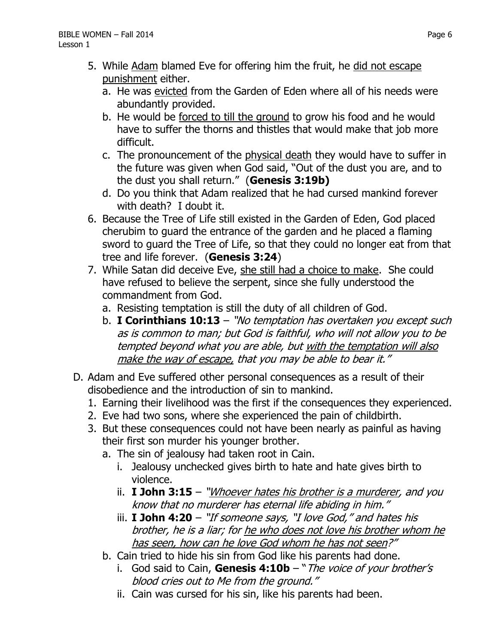- 5. While Adam blamed Eve for offering him the fruit, he did not escape punishment either.
	- a. He was evicted from the Garden of Eden where all of his needs were abundantly provided.
	- b. He would be forced to till the ground to grow his food and he would have to suffer the thorns and thistles that would make that job more difficult.
	- c. The pronouncement of the physical death they would have to suffer in the future was given when God said, "Out of the dust you are, and to the dust you shall return." (**Genesis 3:19b)**
	- d. Do you think that Adam realized that he had cursed mankind forever with death? I doubt it.
- 6. Because the Tree of Life still existed in the Garden of Eden, God placed cherubim to guard the entrance of the garden and he placed a flaming sword to guard the Tree of Life, so that they could no longer eat from that tree and life forever. (**Genesis 3:24**)
- 7. While Satan did deceive Eve, she still had a choice to make. She could have refused to believe the serpent, since she fully understood the commandment from God.
	- a. Resisting temptation is still the duty of all children of God.
	- b. **I Corinthians 10:13** "No temptation has overtaken you except such as is common to man; but God is faithful, who will not allow you to be tempted beyond what you are able, but with the temptation will also make the way of escape, that you may be able to bear it."
- D. Adam and Eve suffered other personal consequences as a result of their disobedience and the introduction of sin to mankind.
	- 1. Earning their livelihood was the first if the consequences they experienced.
	- 2. Eve had two sons, where she experienced the pain of childbirth.
	- 3. But these consequences could not have been nearly as painful as having their first son murder his younger brother.
		- a. The sin of jealousy had taken root in Cain.
			- i. Jealousy unchecked gives birth to hate and hate gives birth to violence.
			- ii. **I John 3:15** "Whoever hates his brother is a murderer, and you know that no murderer has eternal life abiding in him."
			- iii. **I John 4:20** "If someone says, "I love God," and hates his brother, he is a liar; for he who does not love his brother whom he has seen, how can he love God whom he has not seen?"
		- b. Cain tried to hide his sin from God like his parents had done.
			- i. God said to Cain, **Genesis 4:10b** "The voice of your brother's blood cries out to Me from the ground."
			- ii. Cain was cursed for his sin, like his parents had been.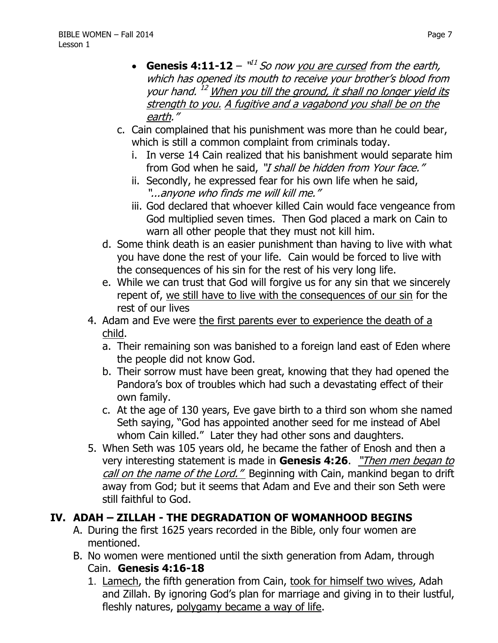- **Genesis 4:11-12**  $\mathbb{I}^{11}$  *So now you are cursed from the earth,* which has opened its mouth to receive your brother's blood from your hand.<sup>12</sup> When you till the ground, it shall no longer yield its strength to you. A fugitive and a vagabond you shall be on the earth."
- c. Cain complained that his punishment was more than he could bear, which is still a common complaint from criminals today.
	- i. In verse 14 Cain realized that his banishment would separate him from God when he said, "I shall be hidden from Your face."
	- ii. Secondly, he expressed fear for his own life when he said, "...anyone who finds me will kill me."
	- iii. God declared that whoever killed Cain would face vengeance from God multiplied seven times. Then God placed a mark on Cain to warn all other people that they must not kill him.
- d. Some think death is an easier punishment than having to live with what you have done the rest of your life. Cain would be forced to live with the consequences of his sin for the rest of his very long life.
- e. While we can trust that God will forgive us for any sin that we sincerely repent of, we still have to live with the consequences of our sin for the rest of our lives
- 4. Adam and Eve were the first parents ever to experience the death of a child.
	- a. Their remaining son was banished to a foreign land east of Eden where the people did not know God.
	- b. Their sorrow must have been great, knowing that they had opened the Pandora's box of troubles which had such a devastating effect of their own family.
	- c. At the age of 130 years, Eve gave birth to a third son whom she named Seth saying, "God has appointed another seed for me instead of Abel whom Cain killed." Later they had other sons and daughters.
- 5. When Seth was 105 years old, he became the father of Enosh and then a very interesting statement is made in **Genesis 4:26**. "Then men began to call on the name of the Lord." Beginning with Cain, mankind began to drift away from God; but it seems that Adam and Eve and their son Seth were still faithful to God.

## **IV. ADAH – ZILLAH - THE DEGRADATION OF WOMANHOOD BEGINS**

- A. During the first 1625 years recorded in the Bible, only four women are mentioned.
- B. No women were mentioned until the sixth generation from Adam, through Cain. **Genesis 4:16-18**
	- 1. Lamech, the fifth generation from Cain, took for himself two wives, Adah and Zillah. By ignoring God's plan for marriage and giving in to their lustful, fleshly natures, polygamy became a way of life.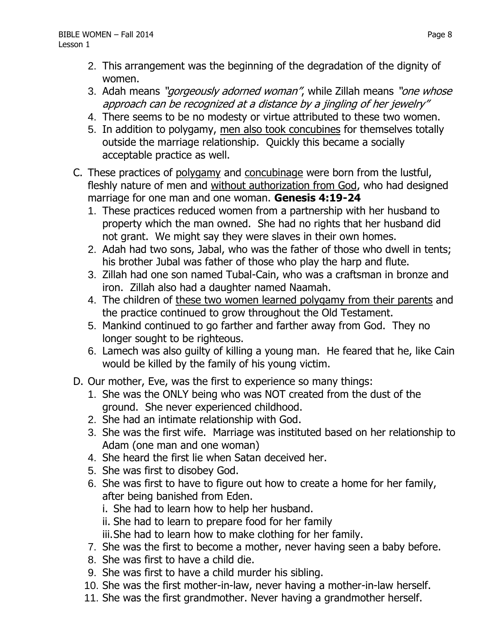- 2. This arrangement was the beginning of the degradation of the dignity of women.
- 3. Adah means "*gorgeously adorned woman"*, while Zillah means "*one whose* approach can be recognized at a distance by a jingling of her jewelry"
- 4. There seems to be no modesty or virtue attributed to these two women.
- 5. In addition to polygamy, men also took concubines for themselves totally outside the marriage relationship. Quickly this became a socially acceptable practice as well.
- C. These practices of polygamy and concubinage were born from the lustful, fleshly nature of men and without authorization from God, who had designed marriage for one man and one woman. **Genesis 4:19-24**
	- 1. These practices reduced women from a partnership with her husband to property which the man owned. She had no rights that her husband did not grant. We might say they were slaves in their own homes.
	- 2. Adah had two sons, Jabal, who was the father of those who dwell in tents; his brother Jubal was father of those who play the harp and flute.
	- 3. Zillah had one son named Tubal-Cain, who was a craftsman in bronze and iron. Zillah also had a daughter named Naamah.
	- 4. The children of these two women learned polygamy from their parents and the practice continued to grow throughout the Old Testament.
	- 5. Mankind continued to go farther and farther away from God. They no longer sought to be righteous.
	- 6. Lamech was also guilty of killing a young man. He feared that he, like Cain would be killed by the family of his young victim.
- D. Our mother, Eve, was the first to experience so many things:
	- 1. She was the ONLY being who was NOT created from the dust of the ground. She never experienced childhood.
	- 2. She had an intimate relationship with God.
	- 3. She was the first wife. Marriage was instituted based on her relationship to Adam (one man and one woman)
	- 4. She heard the first lie when Satan deceived her.
	- 5. She was first to disobey God.
	- 6. She was first to have to figure out how to create a home for her family, after being banished from Eden.
		- i. She had to learn how to help her husband.
		- ii. She had to learn to prepare food for her family
		- iii.She had to learn how to make clothing for her family.
	- 7. She was the first to become a mother, never having seen a baby before.
	- 8. She was first to have a child die.
	- 9. She was first to have a child murder his sibling.
	- 10. She was the first mother-in-law, never having a mother-in-law herself.
	- 11. She was the first grandmother. Never having a grandmother herself.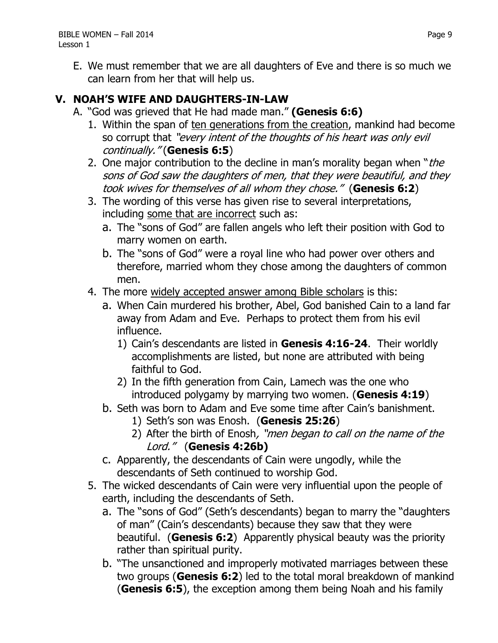E. We must remember that we are all daughters of Eve and there is so much we can learn from her that will help us.

#### **V. NOAH'S WIFE AND DAUGHTERS-IN-LAW**

- A. "God was grieved that He had made man." **(Genesis 6:6)**
	- 1. Within the span of ten generations from the creation, mankind had become so corrupt that "every intent of the thoughts of his heart was only evil continually." (**Genesis 6:5**)
	- 2. One major contribution to the decline in man's morality began when "the sons of God saw the daughters of men, that they were beautiful, and they took wives for themselves of all whom they chose." (**Genesis 6:2**)
	- 3. The wording of this verse has given rise to several interpretations, including some that are incorrect such as:
		- a. The "sons of God" are fallen angels who left their position with God to marry women on earth.
		- b. The "sons of God" were a royal line who had power over others and therefore, married whom they chose among the daughters of common men.
	- 4. The more widely accepted answer among Bible scholars is this:
		- a. When Cain murdered his brother, Abel, God banished Cain to a land far away from Adam and Eve. Perhaps to protect them from his evil influence.
			- 1) Cain's descendants are listed in **Genesis 4:16-24**. Their worldly accomplishments are listed, but none are attributed with being faithful to God.
			- 2) In the fifth generation from Cain, Lamech was the one who introduced polygamy by marrying two women. (**Genesis 4:19**)
		- b. Seth was born to Adam and Eve some time after Cain's banishment.
			- 1) Seth's son was Enosh. (**Genesis 25:26**)
			- 2) After the birth of Enosh, "men began to call on the name of the Lord." (**Genesis 4:26b)**
		- c. Apparently, the descendants of Cain were ungodly, while the descendants of Seth continued to worship God.
	- 5. The wicked descendants of Cain were very influential upon the people of earth, including the descendants of Seth.
		- a. The "sons of God" (Seth's descendants) began to marry the "daughters of man" (Cain's descendants) because they saw that they were beautiful. (**Genesis 6:2**) Apparently physical beauty was the priority rather than spiritual purity.
		- b. "The unsanctioned and improperly motivated marriages between these two groups (**Genesis 6:2**) led to the total moral breakdown of mankind (**Genesis 6:5**), the exception among them being Noah and his family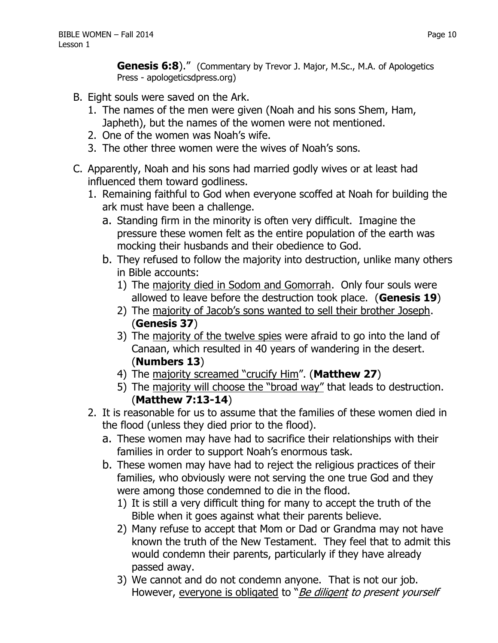**Genesis 6:8**)." (Commentary by Trevor J. Major, M.Sc., M.A. of Apologetics Press - apologeticsdpress.org)

- B. Eight souls were saved on the Ark.
	- 1. The names of the men were given (Noah and his sons Shem, Ham, Japheth), but the names of the women were not mentioned.
	- 2. One of the women was Noah's wife.
	- 3. The other three women were the wives of Noah's sons.
- C. Apparently, Noah and his sons had married godly wives or at least had influenced them toward godliness.
	- 1. Remaining faithful to God when everyone scoffed at Noah for building the ark must have been a challenge.
		- a. Standing firm in the minority is often very difficult. Imagine the pressure these women felt as the entire population of the earth was mocking their husbands and their obedience to God.
		- b. They refused to follow the majority into destruction, unlike many others in Bible accounts:
			- 1) The majority died in Sodom and Gomorrah. Only four souls were allowed to leave before the destruction took place. (**Genesis 19**)
			- 2) The majority of Jacob's sons wanted to sell their brother Joseph. (**Genesis 37**)
			- 3) The majority of the twelve spies were afraid to go into the land of Canaan, which resulted in 40 years of wandering in the desert. (**Numbers 13**)
			- 4) The majority screamed "crucify Him". (**Matthew 27**)
			- 5) The majority will choose the "broad way" that leads to destruction. (**Matthew 7:13-14**)
	- 2. It is reasonable for us to assume that the families of these women died in the flood (unless they died prior to the flood).
		- a. These women may have had to sacrifice their relationships with their families in order to support Noah's enormous task.
		- b. These women may have had to reject the religious practices of their families, who obviously were not serving the one true God and they were among those condemned to die in the flood.
			- 1) It is still a very difficult thing for many to accept the truth of the Bible when it goes against what their parents believe.
			- 2) Many refuse to accept that Mom or Dad or Grandma may not have known the truth of the New Testament. They feel that to admit this would condemn their parents, particularly if they have already passed away.
			- 3) We cannot and do not condemn anyone. That is not our job. However, everyone is obligated to "Be diligent to present yourself